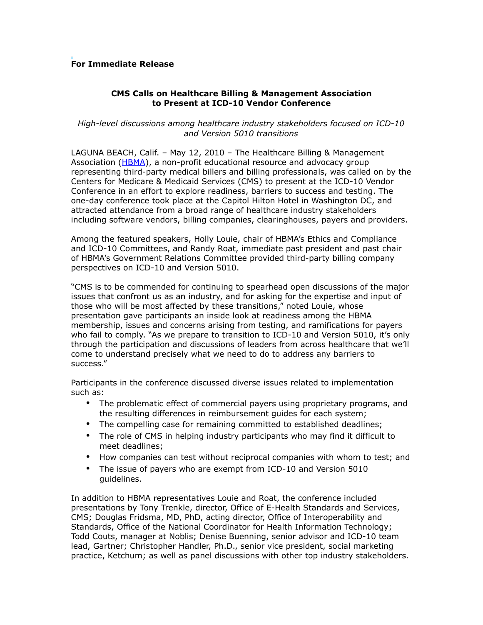## **For Immediate Release**

## **CMS Calls on Healthcare Billing & Management Association to Present at ICD-10 Vendor Conference**

## *High-level discussions among healthcare industry stakeholders focused on ICD-10 and Version 5010 transitions*

LAGUNA BEACH, Calif. – May 12, 2010 – The Healthcare Billing & Management Association [\(HBMA\)](http://www.hbma.org/), a non-profit educational resource and advocacy group representing third-party medical billers and billing professionals, was called on by the Centers for Medicare & Medicaid Services (CMS) to present at the ICD-10 Vendor Conference in an effort to explore readiness, barriers to success and testing. The one-day conference took place at the Capitol Hilton Hotel in Washington DC, and attracted attendance from a broad range of healthcare industry stakeholders including software vendors, billing companies, clearinghouses, payers and providers.

Among the featured speakers, Holly Louie, chair of HBMA's Ethics and Compliance and ICD-10 Committees, and Randy Roat, immediate past president and past chair of HBMA's Government Relations Committee provided third-party billing company perspectives on ICD-10 and Version 5010.

"CMS is to be commended for continuing to spearhead open discussions of the major issues that confront us as an industry, and for asking for the expertise and input of those who will be most affected by these transitions," noted Louie, whose presentation gave participants an inside look at readiness among the HBMA membership, issues and concerns arising from testing, and ramifications for payers who fail to comply. "As we prepare to transition to ICD-10 and Version 5010, it's only through the participation and discussions of leaders from across healthcare that we'll come to understand precisely what we need to do to address any barriers to success."

Participants in the conference discussed diverse issues related to implementation such as:

- The problematic effect of commercial payers using proprietary programs, and the resulting differences in reimbursement guides for each system;
- The compelling case for remaining committed to established deadlines;
- The role of CMS in helping industry participants who may find it difficult to meet deadlines;
- How companies can test without reciprocal companies with whom to test; and
- The issue of payers who are exempt from ICD-10 and Version 5010 guidelines.

In addition to HBMA representatives Louie and Roat, the conference included presentations by Tony Trenkle, director, Office of E-Health Standards and Services, CMS; Douglas Fridsma, MD, PhD, acting director, Office of Interoperability and Standards, Office of the National Coordinator for Health Information Technology; Todd Couts, manager at Noblis; Denise Buenning, senior advisor and ICD-10 team lead, Gartner; Christopher Handler, Ph.D., senior vice president, social marketing practice, Ketchum; as well as panel discussions with other top industry stakeholders.